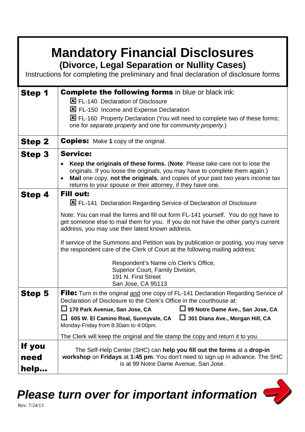| <b>Mandatory Financial Disclosures</b><br>(Divorce, Legal Separation or Nullity Cases)<br>Instructions for completing the preliminary and final declaration of disclosure forms |                                                                                                                                                                                                                                                                                                                                                                                                                                                                                                                                                                                                                          |
|---------------------------------------------------------------------------------------------------------------------------------------------------------------------------------|--------------------------------------------------------------------------------------------------------------------------------------------------------------------------------------------------------------------------------------------------------------------------------------------------------------------------------------------------------------------------------------------------------------------------------------------------------------------------------------------------------------------------------------------------------------------------------------------------------------------------|
| Step 1                                                                                                                                                                          | <b>Complete the following forms</b> in blue or black ink:<br>E FL-140 Declaration of Disclosure<br>区 FL-150 Income and Expense Declaration<br>E FL-160 Property Declaration (You will need to complete two of these forms;<br>one for separate property and one for community property.)                                                                                                                                                                                                                                                                                                                                 |
| <b>Step 2</b>                                                                                                                                                                   | <b>Copies:</b> Make 1 copy of the original.                                                                                                                                                                                                                                                                                                                                                                                                                                                                                                                                                                              |
| <b>Step 3</b>                                                                                                                                                                   | <b>Service:</b><br>Keep the originals of these forms. (Note: Please take care not to lose the<br>originals. If you loose the originals, you may have to complete them again.)<br>Mail one copy, not the originals, and copies of your past two years income tax<br>returns to your spouse or their attorney, if they have one.                                                                                                                                                                                                                                                                                           |
| Step 4                                                                                                                                                                          | <b>Fill out:</b><br>E FL-141 Declaration Regarding Service of Declaration of Disclosure<br>Note: You can mail the forms and fill out form FL-141 yourself. You do not have to<br>get someone else to mail them for you. If you do not have the other party's current<br>address, you may use their latest known address.<br>If service of the Summons and Petition was by publication or posting, you may serve<br>the respondent care of the Clerk of Court at the following mailing address:<br>Respondent's Name c/o Clerk's Office,<br>Superior Court, Family Division,<br>191 N. First Street<br>San Jose, CA 95113 |
| <b>Step 5</b>                                                                                                                                                                   | <b>File:</b> Turn in the original and one copy of FL-141 Declaration Regarding Service of<br>Declaration of Disclosure to the Clerk's Office in the courthouse at:<br>$\Box$ 170 Park Avenue, San Jose, CA<br>□ 99 Notre Dame Ave., San Jose, CA<br>605 W. El Camino Real, Sunnyvale, CA<br>$\Box$ 301 Diana Ave., Morgan Hill, CA<br>Ш<br>Monday-Friday from 8:30am to 4:00pm.                                                                                                                                                                                                                                          |
| If you<br>need<br>help                                                                                                                                                          | The Clerk will keep the original and file stamp the copy and return it to you.<br>The Self-Help Center (SHC) can help you fill out the forms at a drop-in<br>workshop on Fridays at 1:45 pm. You don't need to sign up in advance. The SHC<br>is at 99 Notre Dame Avenue, San Jose.                                                                                                                                                                                                                                                                                                                                      |

*Please turn over for important information*